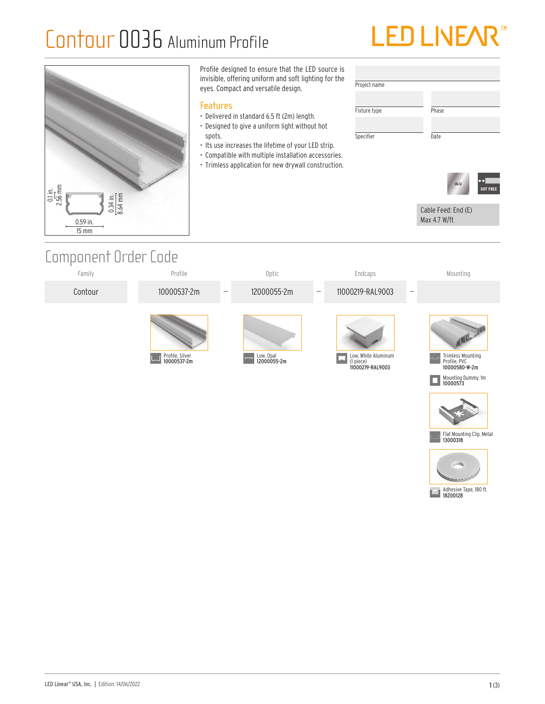## Contour 0036 Aluminum Profile





### Component Order Code





Flat Mounting Clip, Metal 13000318

Adhesive Tape, 180 ft. 18200128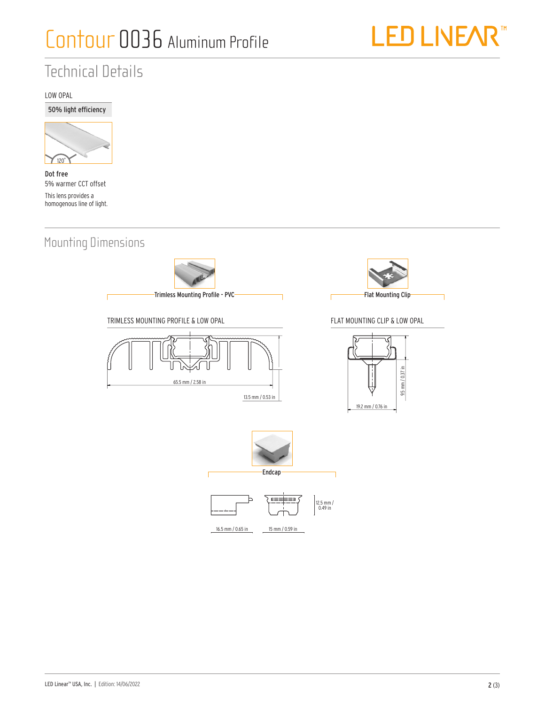

## Technical Details

LOW OPAL





Dot free 5% warmer CCT offset This lens provides a homogenous line of light.